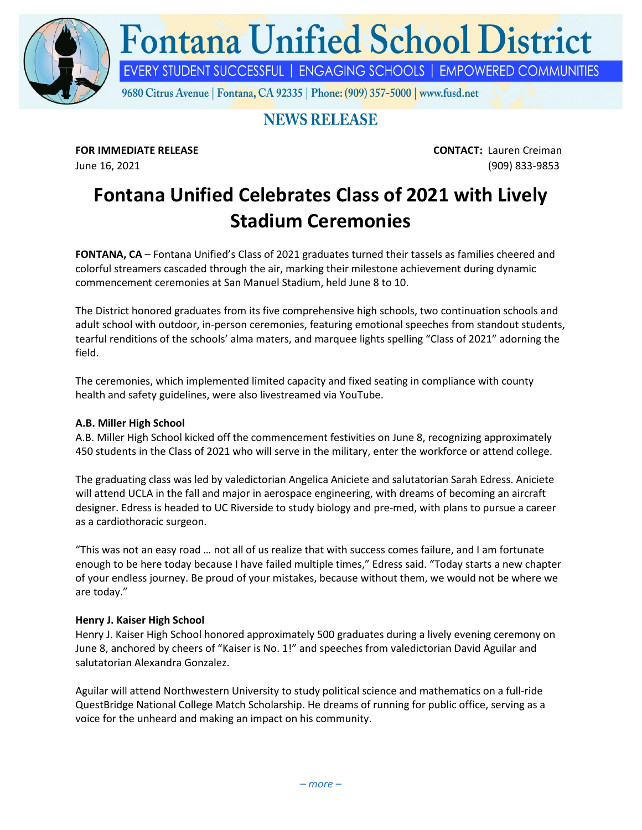

# **NEWS RELEASE**

**FOR IMMEDIATE RELEASE CONTACT:** Lauren Creiman June 16, 2021 (909) 833-9853

# **Fontana Unified Celebrates Class of 2021 with Lively Stadium Ceremonies**

**FONTANA, CA** – Fontana Unified's Class of 2021 graduates turned their tassels as families cheered and colorful streamers cascaded through the air, marking their milestone achievement during dynamic commencement ceremonies at San Manuel Stadium, held June 8 to 10.

The District honored graduates from its five comprehensive high schools, two continuation schools and adult school with outdoor, in-person ceremonies, featuring emotional speeches from standout students, tearful renditions of the schools' alma maters, and marquee lights spelling "Class of 2021" adorning the field.

The ceremonies, which implemented limited capacity and fixed seating in compliance with county health and safety guidelines, were also livestreamed via YouTube.

## **A.B. Miller High School**

A.B. Miller High School kicked off the commencement festivities on June 8, recognizing approximately 450 students in the Class of 2021 who will serve in the military, enter the workforce or attend college.

The graduating class was led by valedictorian Angelica Aniciete and salutatorian Sarah Edress. Aniciete will attend UCLA in the fall and major in aerospace engineering, with dreams of becoming an aircraft designer. Edress is headed to UC Riverside to study biology and pre-med, with plans to pursue a career as a cardiothoracic surgeon.

"This was not an easy road … not all of us realize that with success comes failure, and I am fortunate enough to be here today because I have failed multiple times," Edress said. "Today starts a new chapter of your endless journey. Be proud of your mistakes, because without them, we would not be where we are today."

#### **Henry J. Kaiser High School**

Henry J. Kaiser High School honored approximately 500 graduates during a lively evening ceremony on June 8, anchored by cheers of "Kaiser is No. 1!" and speeches from valedictorian David Aguilar and salutatorian Alexandra Gonzalez.

Aguilar will attend Northwestern University to study political science and mathematics on a full-ride QuestBridge National College Match Scholarship. He dreams of running for public office, serving as a voice for the unheard and making an impact on his community.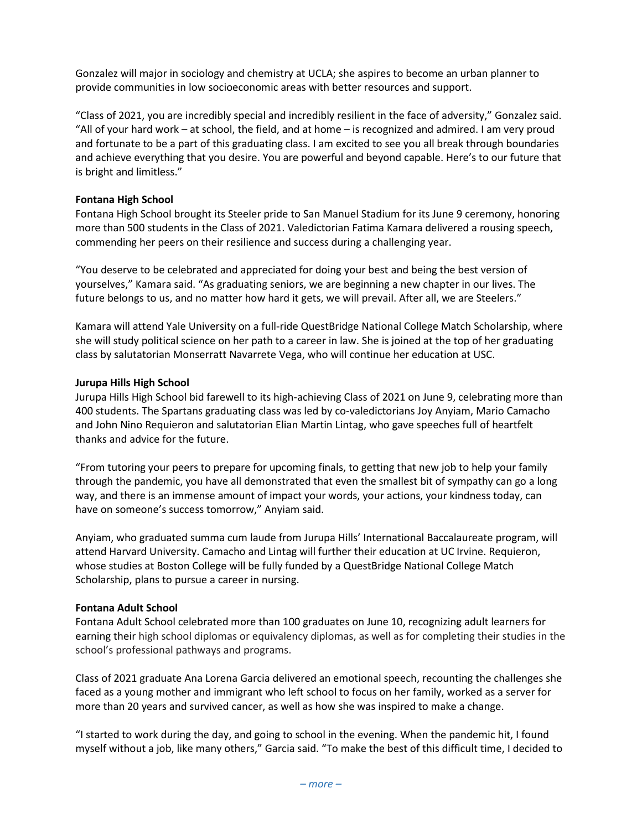Gonzalez will major in sociology and chemistry at UCLA; she aspires to become an urban planner to provide communities in low socioeconomic areas with better resources and support.

"Class of 2021, you are incredibly special and incredibly resilient in the face of adversity," Gonzalez said. "All of your hard work – at school, the field, and at home – is recognized and admired. I am very proud and fortunate to be a part of this graduating class. I am excited to see you all break through boundaries and achieve everything that you desire. You are powerful and beyond capable. Here's to our future that is bright and limitless."

#### **Fontana High School**

Fontana High School brought its Steeler pride to San Manuel Stadium for its June 9 ceremony, honoring more than 500 students in the Class of 2021. Valedictorian Fatima Kamara delivered a rousing speech, commending her peers on their resilience and success during a challenging year.

"You deserve to be celebrated and appreciated for doing your best and being the best version of yourselves," Kamara said. "As graduating seniors, we are beginning a new chapter in our lives. The future belongs to us, and no matter how hard it gets, we will prevail. After all, we are Steelers."

Kamara will attend Yale University on a full-ride QuestBridge National College Match Scholarship, where she will study political science on her path to a career in law. She is joined at the top of her graduating class by salutatorian Monserratt Navarrete Vega, who will continue her education at USC.

#### **Jurupa Hills High School**

Jurupa Hills High School bid farewell to its high-achieving Class of 2021 on June 9, celebrating more than 400 students. The Spartans graduating class was led by co-valedictorians Joy Anyiam, Mario Camacho and John Nino Requieron and salutatorian Elian Martin Lintag, who gave speeches full of heartfelt thanks and advice for the future.

"From tutoring your peers to prepare for upcoming finals, to getting that new job to help your family through the pandemic, you have all demonstrated that even the smallest bit of sympathy can go a long way, and there is an immense amount of impact your words, your actions, your kindness today, can have on someone's success tomorrow," Anyiam said.

Anyiam, who graduated summa cum laude from Jurupa Hills' International Baccalaureate program, will attend Harvard University. Camacho and Lintag will further their education at UC Irvine. Requieron, whose studies at Boston College will be fully funded by a QuestBridge National College Match Scholarship, plans to pursue a career in nursing.

#### **Fontana Adult School**

Fontana Adult School celebrated more than 100 graduates on June 10, recognizing adult learners for earning their high school diplomas or equivalency diplomas, as well as for completing their studies in the school's professional pathways and programs.

Class of 2021 graduate Ana Lorena Garcia delivered an emotional speech, recounting the challenges she faced as a young mother and immigrant who left school to focus on her family, worked as a server for more than 20 years and survived cancer, as well as how she was inspired to make a change.

"I started to work during the day, and going to school in the evening. When the pandemic hit, I found myself without a job, like many others," Garcia said. "To make the best of this difficult time, I decided to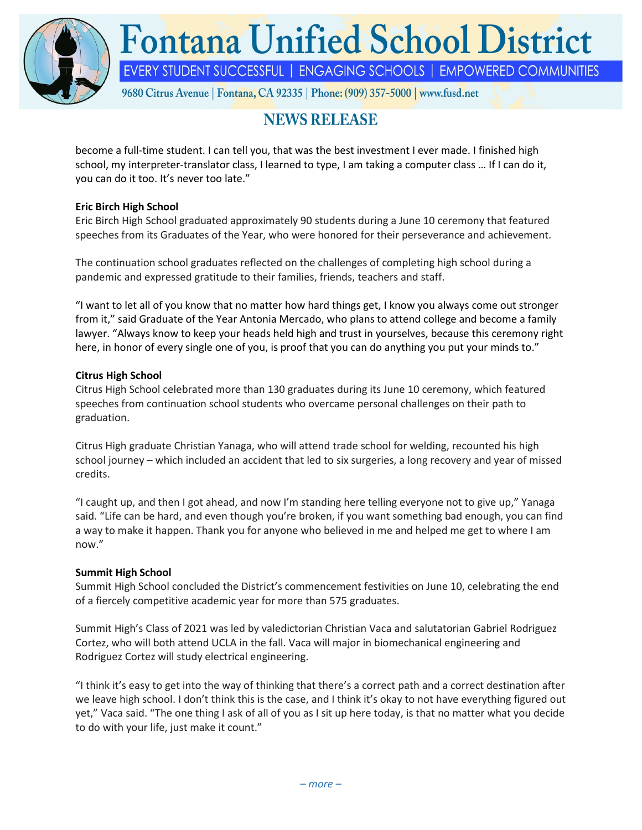

# **NEWS RELEASE**

become a full-time student. I can tell you, that was the best investment I ever made. I finished high school, my interpreter-translator class, I learned to type, I am taking a computer class … If I can do it, you can do it too. It's never too late."

## **Eric Birch High School**

Eric Birch High School graduated approximately 90 students during a June 10 ceremony that featured speeches from its Graduates of the Year, who were honored for their perseverance and achievement.

The continuation school graduates reflected on the challenges of completing high school during a pandemic and expressed gratitude to their families, friends, teachers and staff.

"I want to let all of you know that no matter how hard things get, I know you always come out stronger from it," said Graduate of the Year Antonia Mercado, who plans to attend college and become a family lawyer. "Always know to keep your heads held high and trust in yourselves, because this ceremony right here, in honor of every single one of you, is proof that you can do anything you put your minds to."

# **Citrus High School**

Citrus High School celebrated more than 130 graduates during its June 10 ceremony, which featured speeches from continuation school students who overcame personal challenges on their path to graduation.

Citrus High graduate Christian Yanaga, who will attend trade school for welding, recounted his high school journey – which included an accident that led to six surgeries, a long recovery and year of missed credits.

"I caught up, and then I got ahead, and now I'm standing here telling everyone not to give up," Yanaga said. "Life can be hard, and even though you're broken, if you want something bad enough, you can find a way to make it happen. Thank you for anyone who believed in me and helped me get to where I am now."

## **Summit High School**

Summit High School concluded the District's commencement festivities on June 10, celebrating the end of a fiercely competitive academic year for more than 575 graduates.

Summit High's Class of 2021 was led by valedictorian Christian Vaca and salutatorian Gabriel Rodriguez Cortez, who will both attend UCLA in the fall. Vaca will major in biomechanical engineering and Rodriguez Cortez will study electrical engineering.

"I think it's easy to get into the way of thinking that there's a correct path and a correct destination after we leave high school. I don't think this is the case, and I think it's okay to not have everything figured out yet," Vaca said. "The one thing I ask of all of you as I sit up here today, is that no matter what you decide to do with your life, just make it count."